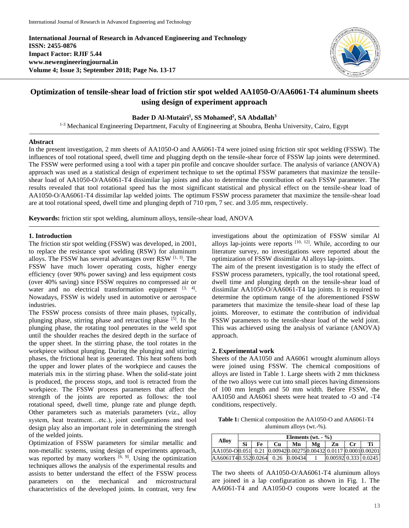**International Journal of Research in Advanced Engineering and Technology ISSN: 2455-0876 Impact Factor: RJIF 5.44 www.newengineeringjournal.in Volume 4; Issue 3; September 2018; Page No. 13-17**



# **Optimization of tensile-shear load of friction stir spot welded AA1050-O/AA6061-T4 aluminum sheets using design of experiment approach**

## **Bader D Al-Mutairi<sup>1</sup> , SS Mohamed<sup>2</sup> , SA Abdallah<sup>3</sup>**

<sup>1-3</sup> Mechanical Engineering Department, Faculty of Engineering at Shoubra, Benha University, Cairo, Egypt

#### **Abstract**

In the present investigation, 2 mm sheets of AA1050-O and AA6061-T4 were joined using friction stir spot welding (FSSW). The influences of tool rotational speed, dwell time and plugging depth on the tensile-shear force of FSSW lap joints were determined. The FSSW were performed using a tool with a taper pin profile and concave shoulder surface. The analysis of variance (ANOVA) approach was used as a statistical design of experiment technique to set the optimal FSSW parameters that maximize the tensileshear load of AA1050-O/AA6061-T4 dissimilar lap joints and also to determine the contribution of each FSSW parameter. The results revealed that tool rotational speed has the most significant statistical and physical effect on the tensile-shear load of AA1050-O/AA6061-T4 dissimilar lap welded joints. The optimum FSSW process parameter that maximize the tensile-shear load are at tool rotational speed, dwell time and plunging depth of 710 rpm, 7 sec. and 3.05 mm, respectively.

**Keywords:** friction stir spot welding, aluminum alloys, tensile-shear load, ANOVA

## **1. Introduction**

The friction stir spot welding (FSSW) was developed, in 2001, to replace the resistance spot welding (RSW) for aluminum alloys. The FSSW has several advantages over RSW  $[1, 3]$ . The FSSW have much lower operating costs, higher energy efficiency (over 90% power saving) and less equipment costs (over 40% saving) since FSSW requires no compressed air or water and no electrical transformation equipment  $[3, 4]$ . Nowadays, FSSW is widely used in automotive or aerospace industries.

The FSSW process consists of three main phases, typically, plunging phase, stirring phase and retracting phase [5]. In the plunging phase, the rotating tool penetrates in the weld spot until the shoulder reaches the desired depth in the surface of the upper sheet. In the stirring phase, the tool rotates in the workpiece without plunging. During the plunging and stirring phases, the frictional heat is generated. This heat softens both the upper and lower plates of the workpiece and causes the materials mix in the stirring phase. When the solid-state joint is produced, the process stops, and tool is retracted from the workpiece. The FSSW process parameters that affect the strength of the joints are reported as follows: the tool rotational speed, dwell time, plunge rate and plunge depth. Other parameters such as materials parameters (viz., alloy system, heat treatment…etc.), joint configurations and tool design play also an important role in determining the strength of the welded joints.

Optimization of FSSW parameters for similar metallic and non-metallic systems, using design of experiments approach, was reported by many workers  $[6, 9]$ . Using the optimization techniques allows the analysis of the experimental results and assists to better understand the effect of the FSSW process parameters on the mechanical and microstructural characteristics of the developed joints. In contrast, very few investigations about the optimization of FSSW similar Al alloys lap-joints were reports  $[10, 12]$ . While, according to our literature survey, no investigations were reported about the optimization of FSSW dissimilar Al alloys lap-joints.

The aim of the present investigation is to study the effect of FSSW process parameters, typically, the tool rotational speed, dwell time and plunging depth on the tensile-shear load of dissimilar AA1050-O/AA6061-T4 lap joints. It is required to determine the optimum range of the aforementioned FSSW parameters that maximize the tensile-shear load of these lap joints. Moreover, to estimate the contribution of individual FSSW parameters to the tensile-shear load of the weld joint. This was achieved using the analysis of variance (ANOVA) approach.

#### **2. Experimental work**

Sheets of the AA1050 and AA6061 wrought aluminum alloys were joined using FSSW. The chemical compositions of alloys are listed in Table 1. Large sheets with 2 mm thickness of the two alloys were cut into small pieces having dimensions of 100 mm length and 50 mm width. Before FSSW, the AA1050 and AA6061 sheets were heat treated to -O and -T4 conditions, respectively.

**Table 1:** Chemical composition the AA1050-O and AA6061-T4 aluminum alloys (wt.-%).

| Allov                                                         | Elements $(wt. - %)$ |    |    |    |    |                        |                  |    |
|---------------------------------------------------------------|----------------------|----|----|----|----|------------------------|------------------|----|
|                                                               | Si                   | Fe | Cu | Mn | Mg | Zn                     | $C_{\mathbf{r}}$ | Тi |
| AA1050-O0.051 0.21 0.009420.002750.00432 0.0117 0.00010.00201 |                      |    |    |    |    |                        |                  |    |
| AA6061T40.5520.0264 0.26 0.00434                              |                      |    |    |    |    | $0.00592$ 0.333 0.0245 |                  |    |

The two sheets of AA1050-O/AA6061-T4 aluminum alloys are joined in a lap configuration as shown in Fig. 1. The AA6061-T4 and AA1050-O coupons were located at the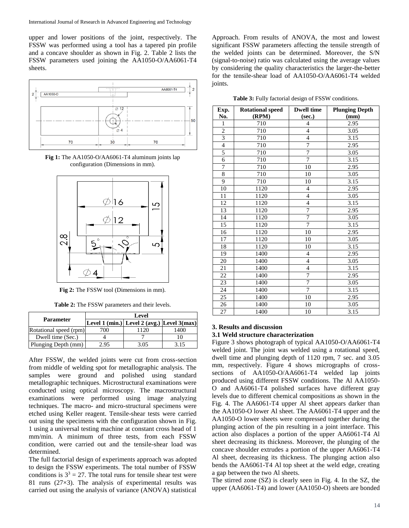upper and lower positions of the joint, respectively. The FSSW was performed using a tool has a tapered pin profile and a concave shoulder as shown in Fig. 2. Table 2 lists the FSSW parameters used joining the AA1050-O/AA6061-T4 sheets.



**Fig 1:** The AA1050-O/AA6061-T4 aluminum joints lap configuration (Dimensions in mm).



**Fig 2:** The FSSW tool (Dimensions in mm).

**Table 2:** The FSSW parameters and their levels.

|                        | Level |                                                                              |      |  |  |
|------------------------|-------|------------------------------------------------------------------------------|------|--|--|
| <b>Parameter</b>       |       | Level $1 \text{ (min.)}$ Level $2 \text{ (avg.)}$ [Level $3 \text{ (max)}$ ] |      |  |  |
| Rotational speed (rpm) | 700   | 1120                                                                         | 1400 |  |  |
| Dwell time (Sec.)      |       |                                                                              |      |  |  |
| Plunging Depth (mm)    | 2.95  | 3.05                                                                         | 3.15 |  |  |

After FSSW, the welded joints were cut from cross-section from middle of welding spot for metallographic analysis. The samples were ground and polished using standard metallographic techniques. Microstructural examinations were conducted using optical microscopy. The macrostructural examinations were performed using image analyzing techniques. The macro- and micro-structural specimens were etched using Keller reagent. Tensile-shear tests were carried out using the specimens with the configuration shown in Fig. 1 using a universal testing machine at constant cross head of 1 mm/min. A minimum of three tests, from each FSSW condition, were carried out and the tensile-shear load was determined.

The full factorial design of experiments approach was adopted to design the FSSW experiments. The total number of FSSW conditions is  $3<sup>3</sup> = 27$ . The total runs for tensile shear test were 81 runs (27×3). The analysis of experimental results was carried out using the analysis of variance (ANOVA) statistical

Approach. From results of ANOVA, the most and lowest significant FSSW parameters affecting the tensile strength of the welded joints can be determined. Moreover, the S/N (signal-to-noise) ratio was calculated using the average values by considering the quality characteristics the larger-the-better for the tensile-shear load of AA1050-O/AA6061-T4 welded joints.

**Table 3:** Fully factorial design of FSSW conditions.

| Exp.                    | <b>Rotational speed</b> | <b>Dwell time</b> | <b>Plunging Depth</b> |
|-------------------------|-------------------------|-------------------|-----------------------|
| No.                     | (RPM)                   | (sec.)            | (mm)                  |
| $\mathbf{1}$            | 710                     | $\overline{4}$    | 2.95                  |
| $\overline{c}$          | 710                     | $\overline{4}$    | 3.05                  |
| $\overline{\mathbf{3}}$ | 710                     | $\overline{4}$    | 3.15                  |
| $\overline{4}$          | 710                     | 7                 | 2.95                  |
| 5                       | 710                     | 7                 | 3.05                  |
| 6                       | 710                     | $\tau$            | 3.15                  |
| 7                       | 710                     | 10                | 2.95                  |
| $\overline{8}$          | 710                     | 10                | 3.05                  |
| $\overline{9}$          | 710                     | 10                | 3.15                  |
| 10                      | 1120                    | $\overline{4}$    | 2.95                  |
| 11                      | 1120                    | $\overline{4}$    | 3.05                  |
| 12                      | 1120                    | $\overline{4}$    | 3.15                  |
| 13                      | 1120                    | 7                 | 2.95                  |
| 14                      | 1120                    | 7                 | 3.05                  |
| 15                      | 1120                    | $\overline{7}$    | 3.15                  |
| 16                      | 1120                    | $\overline{10}$   | 2.95                  |
| 17                      | 1120                    | 10                | 3.05                  |
| 18                      | 1120                    | 10                | 3.15                  |
| 19                      | 1400                    | $\overline{4}$    | 2.95                  |
| 20                      | 1400                    | $\overline{4}$    | 3.05                  |
| 21                      | 1400                    | $\overline{4}$    | 3.15                  |
| 22                      | 1400                    | 7                 | 2.95                  |
| 23                      | 1400                    | 7                 | 3.05                  |
| 24                      | 1400                    | $\overline{7}$    | 3.15                  |
| 25                      | 1400                    | 10                | 2.95                  |
| 26                      | 1400                    | 10                | 3.05                  |
| 27                      | 1400                    | 10                | 3.15                  |

#### **3. Results and discussion**

#### **3.1 Weld structure characterization**

Figure 3 shows photograph of typical AA1050-O/AA6061-T4 welded joint. The joint was welded using a rotational speed, dwell time and plunging depth of 1120 rpm, 7 sec. and 3.05 mm, respectively. Figure 4 shows micrographs of crosssections of AA1050-O/AA6061-T4 welded lap joints produced using different FSSW conditions. The Al AA1050- O and AA6061-T4 polished surfaces have different gray levels due to different chemical compositions as shown in the Fig. 4. The AA6061-T4 upper Al sheet appears darker than the AA1050-O lower Al sheet. The AA6061-T4 upper and the AA1050-O lower sheets were compressed together during the plunging action of the pin resulting in a joint interface. This action also displaces a portion of the upper AA6061-T4 Al sheet decreasing its thickness. Moreover, the plunging of the concave shoulder extrudes a portion of the upper AA6061-T4 Al sheet, decreasing its thickness. The plunging action also bends the AA6061-T4 Al top sheet at the weld edge, creating a gap between the two Al sheets.

The stirred zone (SZ) is clearly seen in Fig. 4. In the SZ, the upper (AA6061-T4) and lower (AA1050-O) sheets are bonded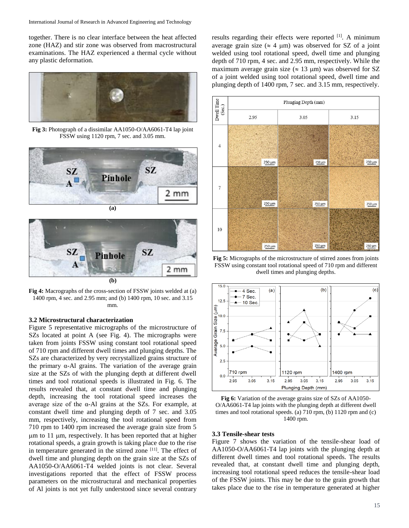together. There is no clear interface between the heat affected zone (HAZ) and stir zone was observed from macrostructural examinations. The HAZ experienced a thermal cycle without any plastic deformation.



**Fig 3:** Photograph of a dissimilar AA1050-O/AA6061-T4 lap joint FSSW using 1120 rpm, 7 sec. and 3.05 mm.





**Fig 4:** Macrographs of the cross-section of FSSW joints welded at (a) 1400 rpm, 4 sec. and 2.95 mm; and (b) 1400 rpm, 10 sec. and 3.15 mm.

### **3.2 Microstructural characterization**

Figure 5 representative micrographs of the microstructure of SZs located at point A (see Fig. 4). The micrographs were taken from joints FSSW using constant tool rotational speed of 710 rpm and different dwell times and plunging depths. The SZs are characterized by very recrystallized grains structure of the primary α-Al grains. The variation of the average grain size at the SZs of with the plunging depth at different dwell times and tool rotational speeds is illustrated in Fig. 6. The results revealed that, at constant dwell time and plunging depth, increasing the tool rotational speed increases the average size of the  $\alpha$ -Al grains at the SZs. For example, at constant dwell time and plunging depth of 7 sec. and 3.05 mm, respectively, increasing the tool rotational speed from 710 rpm to 1400 rpm increased the average grain size from 5  $\mu$ m to 11  $\mu$ m, respectively. It has been reported that at higher rotational speeds, a grain growth is taking place due to the rise in temperature generated in the stirred zone [11]. The effect of dwell time and plunging depth on the grain size at the SZs of AA1050-O/AA6061-T4 welded joints is not clear. Several investigations reported that the effect of FSSW process parameters on the microstructural and mechanical properties of Al joints is not yet fully understood since several contrary

results regarding their effects were reported [1]. A minimum average grain size ( $\approx$  4 µm) was observed for SZ of a joint welded using tool rotational speed, dwell time and plunging depth of 710 rpm, 4 sec. and 2.95 mm, respectively. While the maximum average grain size ( $\approx 13 \text{ }\mu\text{m}$ ) was observed for SZ of a joint welded using tool rotational speed, dwell time and plunging depth of 1400 rpm, 7 sec. and 3.15 mm, respectively.



**Fig 5:** Micrographs of the microstructure of stirred zones from joints FSSW using constant tool rotational speed of 710 rpm and different dwell times and plunging depths.



**Fig 6:** Variation of the average grains size of SZs of AA1050- O/AA6061-T4 lap joints with the plunging depth at different dwell times and tool rotational speeds. (a) 710 rpm, (b) 1120 rpm and (c) 1400 rpm.

#### **3.3 Tensile-shear tests**

Figure 7 shows the variation of the tensile-shear load of AA1050-O/AA6061-T4 lap joints with the plunging depth at different dwell times and tool rotational speeds. The results revealed that, at constant dwell time and plunging depth, increasing tool rotational speed reduces the tensile-shear load of the FSSW joints. This may be due to the grain growth that takes place due to the rise in temperature generated at higher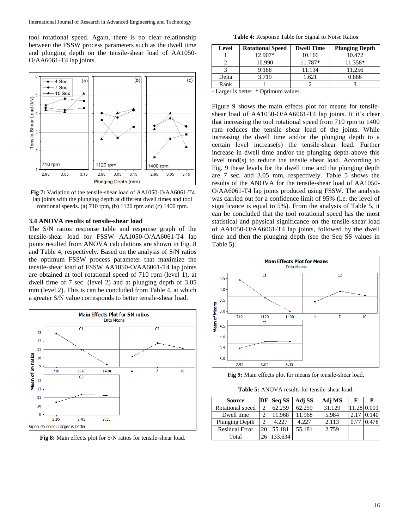tool rotational speed. Again, there is no clear relationship between the FSSW process parameters such as the dwell time and plunging depth on the tensile-shear load of AA1050- O/AA6061-T4 lap joints.



**Fig 7:** Variation of the tensile-shear load of AA1050-O/AA6061-T4 lap joints with the plunging depth at different dwell times and tool rotational speeds. (a) 710 rpm, (b) 1120 rpm and (c) 1400 rpm.

#### **3.4 ANOVA results of tensile-shear load**

The S/N ratios response table and response graph of the tensile-shear load for FSSW AA1050-O/AA6061-T4 lap joints resulted from ANOVA calculations are shown in Fig. 8 and Table 4, respectively. Based on the analysis of S/N ratios the optimum FSSW process parameter that maximize the tensile-shear load of FSSW AA1050-O/AA6061-T4 lap joints are obtained at tool rotational speed of 710 rpm (level 1), at dwell time of 7 sec. (level 2) and at plunging depth of 3.05 mm (level 2). This is can be concluded from Table 4, at which a greater S/N value corresponds to better tensile-shear load.



**Fig 8:** Main effects plot for S/N ratios for tensile-shear load.

**Table 4:** Response Table for Signal to Noise Ratios

| Level | <b>Rotational Speed</b> | <b>Dwell Time</b> | <b>Plunging Depth</b> |
|-------|-------------------------|-------------------|-----------------------|
|       | 12.907*                 | 10.166            | 10.472                |
|       | 10.990                  | 11.787*           | 11.358*               |
|       | 9.188                   | 11.134            | 11.256                |
| Delta | 3.719                   | 1.621             | 0.886                 |
| Rank  |                         |                   |                       |

- Larger is better. \* Optimum values.

Figure 9 shows the main effects plot for means for tensileshear load of AA1050-O/AA6061-T4 lap joints. It it's clear that increasing the tool rotational speed from 710 rpm to 1400 rpm reduces the tensile shear load of the joints. While increasing the dwell time and/or the plunging depth to a certain level increase(s) the tensile-shear load. Further increase in dwell time and/or the plunging depth above this level tend(s) to reduce the tensile shear load. According to Fig. 9 these levels for the dwell time and the plunging depth are 7 sec. and 3.05 mm, respectively. Table 5 shows the results of the ANOVA for the tensile-shear load of AA1050- O/AA6061-T4 lap joints produced using FSSW. The analysis was carried out for a confidence limit of 95% (i.e. the level of significance is equal to 5%). From the analysis of Table 5, it can be concluded that the tool rotational speed has the most statistical and physical significance on the tensile-shear load of AA1050-O/AA6061-T4 lap joints, followed by the dwell time and then the plunging depth (see the Seq SS values in Table 5).



**Fig 9:** Main effects plot for means for tensile-shear load.

**Table 5:** ANOVA results for tensile-shear load.

| <b>Source</b>         | DF | Seq SS  | Adj SS | Adj MS | F    |             |
|-----------------------|----|---------|--------|--------|------|-------------|
| Rotational speed      |    | 62.259  | 62.259 | 31.129 |      | 11.28 0.001 |
| Dwell time            |    | 11.968  | 11.968 | 5.984  | 2.17 | 0.140       |
| <b>Plunging Depth</b> |    | 4.227   | 4.227  | 2.113  | 0.77 | 0.478       |
| <b>Residual Error</b> | 20 | 55.181  | 55.181 | 2.759  |      |             |
| Total                 |    | 133.634 |        |        |      |             |